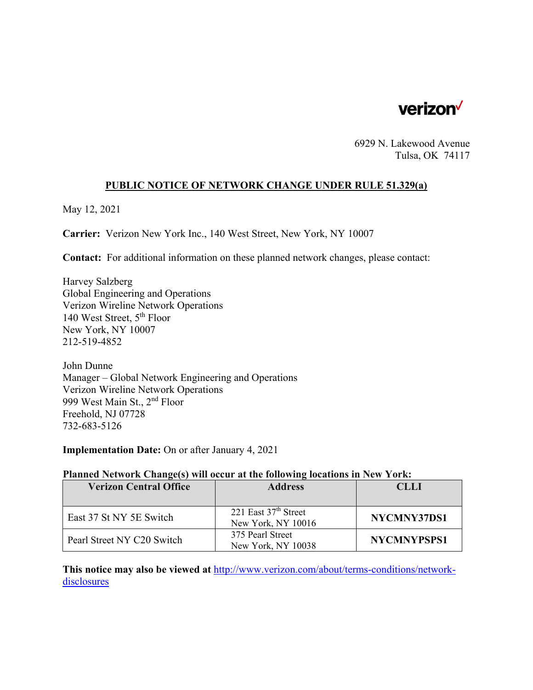

6929 N. Lakewood Avenue Tulsa, OK 74117

#### **PUBLIC NOTICE OF NETWORK CHANGE UNDER RULE 51.329(a)**

May 12, 2021

**Carrier:** Verizon New York Inc., 140 West Street, New York, NY 10007

**Contact:** For additional information on these planned network changes, please contact:

Harvey Salzberg Global Engineering and Operations Verizon Wireline Network Operations 140 West Street, 5th Floor New York, NY 10007 212-519-4852

John Dunne Manager – Global Network Engineering and Operations Verizon Wireline Network Operations 999 West Main St., 2nd Floor Freehold, NJ 07728 732-683-5126

**Implementation Date:** On or after January 4, 2021

#### **Planned Network Change(s) will occur at the following locations in New York:**

| <b>Verizon Central Office</b> | <b>Address</b>                               | CLLI               |
|-------------------------------|----------------------------------------------|--------------------|
|                               |                                              |                    |
| East 37 St NY 5E Switch       | 221 East $37th$ Street<br>New York, NY 10016 | NYCMNY37DS1        |
| Pearl Street NY C20 Switch    | 375 Pearl Street<br>New York, NY 10038       | <b>NYCMNYPSPS1</b> |

**This notice may also be viewed at** http://www.verizon.com/about/terms-conditions/networkdisclosures